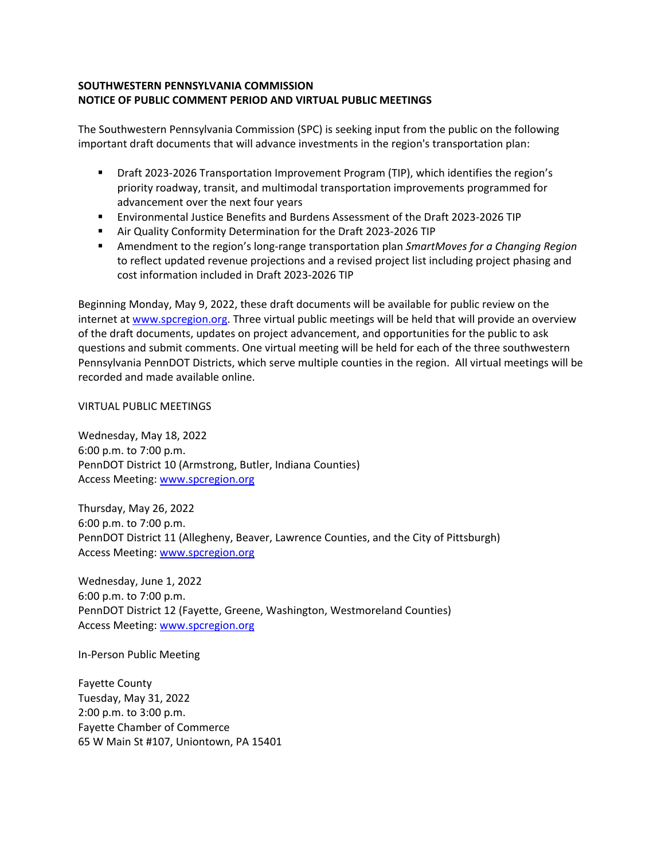## **SOUTHWESTERN PENNSYLVANIA COMMISSION NOTICE OF PUBLIC COMMENT PERIOD AND VIRTUAL PUBLIC MEETINGS**

The Southwestern Pennsylvania Commission (SPC) is seeking input from the public on the following important draft documents that will advance investments in the region's transportation plan:

- Draft 2023-2026 Transportation Improvement Program (TIP), which identifies the region's priority roadway, transit, and multimodal transportation improvements programmed for advancement over the next four years
- Environmental Justice Benefits and Burdens Assessment of the Draft 2023-2026 TIP
- Air Quality Conformity Determination for the Draft 2023-2026 TIP
- Amendment to the region's long-range transportation plan *SmartMoves for a Changing Region*  to reflect updated revenue projections and a revised project list including project phasing and cost information included in Draft 2023-2026 TIP

Beginning Monday, May 9, 2022, these draft documents will be available for public review on the internet at [www.spcregion.org.](http://www.spcregion.org/) Three virtual public meetings will be held that will provide an overview of the draft documents, updates on project advancement, and opportunities for the public to ask questions and submit comments. One virtual meeting will be held for each of the three southwestern Pennsylvania PennDOT Districts, which serve multiple counties in the region. All virtual meetings will be recorded and made available online.

VIRTUAL PUBLIC MEETINGS

Wednesday, May 18, 2022 6:00 p.m. to 7:00 p.m. PennDOT District 10 (Armstrong, Butler, Indiana Counties) Access Meeting: [www.spcregion.org](http://www.spcregion.org/)

Thursday, May 26, 2022 6:00 p.m. to 7:00 p.m. PennDOT District 11 (Allegheny, Beaver, Lawrence Counties, and the City of Pittsburgh) Access Meeting: [www.spcregion.org](http://www.spcregion.org/)

Wednesday, June 1, 2022 6:00 p.m. to 7:00 p.m. PennDOT District 12 (Fayette, Greene, Washington, Westmoreland Counties) Access Meeting: [www.spcregion.org](http://www.spcregion.org/)

In-Person Public Meeting

Fayette County Tuesday, May 31, 2022 2:00 p.m. to 3:00 p.m. Fayette Chamber of Commerce 65 W Main St #107, Uniontown, PA 15401